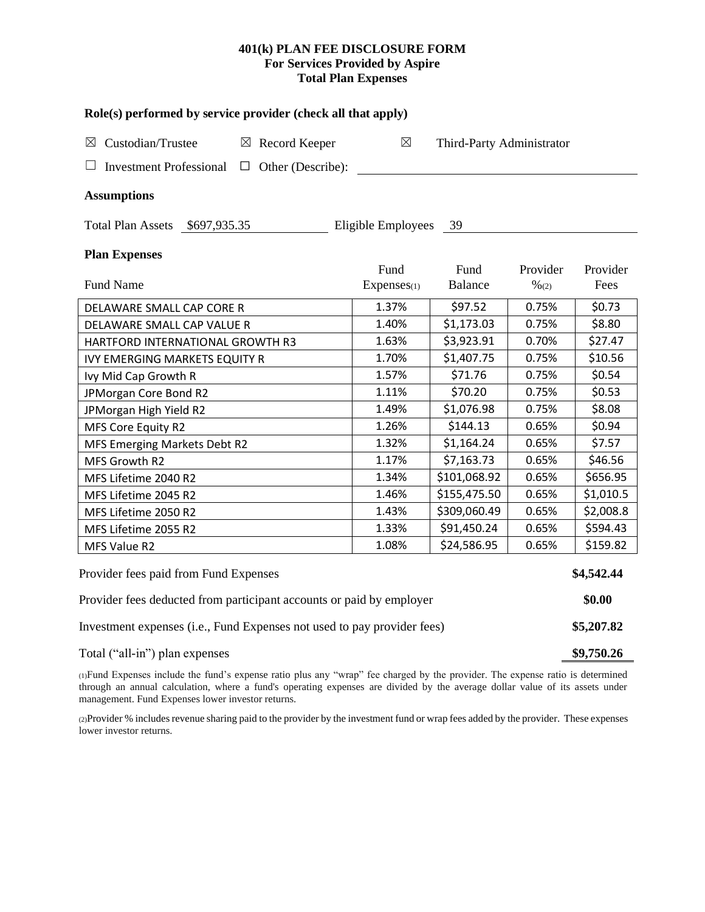## **401(k) PLAN FEE DISCLOSURE FORM For Services Provided by Aspire Total Plan Expenses**

| Role(s) performed by service provider (check all that apply)            |                    |                           |                  |            |  |  |  |  |  |
|-------------------------------------------------------------------------|--------------------|---------------------------|------------------|------------|--|--|--|--|--|
| Custodian/Trustee<br>$\boxtimes$ Record Keeper<br>$\boxtimes$           | $\boxtimes$        | Third-Party Administrator |                  |            |  |  |  |  |  |
| <b>Investment Professional</b><br>$\Box$ Other (Describe):<br>ப         |                    |                           |                  |            |  |  |  |  |  |
| <b>Assumptions</b>                                                      |                    |                           |                  |            |  |  |  |  |  |
| Total Plan Assets \$697,935.35                                          | Eligible Employees | 39                        |                  |            |  |  |  |  |  |
| <b>Plan Expenses</b>                                                    |                    |                           |                  |            |  |  |  |  |  |
|                                                                         | Fund               | Fund                      | Provider         | Provider   |  |  |  |  |  |
| Fund Name                                                               | Expenses(1)        | <b>Balance</b>            | $\frac{9}{6(2)}$ | Fees       |  |  |  |  |  |
| DELAWARE SMALL CAP CORE R                                               | 1.37%              | \$97.52                   | 0.75%            | \$0.73     |  |  |  |  |  |
| DELAWARE SMALL CAP VALUE R                                              | 1.40%              | \$1,173.03                | 0.75%            | \$8.80     |  |  |  |  |  |
| HARTFORD INTERNATIONAL GROWTH R3                                        | 1.63%              | \$3,923.91                | 0.70%            | \$27.47    |  |  |  |  |  |
| <b>IVY EMERGING MARKETS EQUITY R</b>                                    | 1.70%              | \$1,407.75                | 0.75%            | \$10.56    |  |  |  |  |  |
| Ivy Mid Cap Growth R                                                    | 1.57%              | \$71.76                   | 0.75%            | \$0.54     |  |  |  |  |  |
| JPMorgan Core Bond R2                                                   | 1.11%              | \$70.20                   | 0.75%            | \$0.53     |  |  |  |  |  |
| JPMorgan High Yield R2                                                  | 1.49%              | \$1,076.98                | 0.75%            | \$8.08     |  |  |  |  |  |
| MFS Core Equity R2                                                      | 1.26%              | \$144.13                  | 0.65%            | \$0.94     |  |  |  |  |  |
| MFS Emerging Markets Debt R2                                            | 1.32%              | \$1,164.24                | 0.65%            | \$7.57     |  |  |  |  |  |
| MFS Growth R2                                                           | 1.17%              | \$7,163.73                | 0.65%            | \$46.56    |  |  |  |  |  |
| MFS Lifetime 2040 R2                                                    | 1.34%              | \$101,068.92              | 0.65%            | \$656.95   |  |  |  |  |  |
| MFS Lifetime 2045 R2                                                    | 1.46%              | \$155,475.50              | 0.65%            | \$1,010.5  |  |  |  |  |  |
| MFS Lifetime 2050 R2                                                    | 1.43%              | \$309,060.49              | 0.65%            | \$2,008.8  |  |  |  |  |  |
| MFS Lifetime 2055 R2                                                    | 1.33%              | \$91,450.24               | 0.65%            | \$594.43   |  |  |  |  |  |
| MFS Value R2                                                            | 1.08%              | \$24,586.95               | 0.65%            | \$159.82   |  |  |  |  |  |
| Provider fees paid from Fund Expenses                                   |                    |                           |                  | \$4,542.44 |  |  |  |  |  |
| Provider fees deducted from participant accounts or paid by employer    |                    |                           |                  |            |  |  |  |  |  |
| Investment expenses (i.e., Fund Expenses not used to pay provider fees) |                    |                           |                  |            |  |  |  |  |  |
| Total ("all-in") plan expenses                                          |                    |                           |                  |            |  |  |  |  |  |

(1)Fund Expenses include the fund's expense ratio plus any "wrap" fee charged by the provider. The expense ratio is determined through an annual calculation, where a fund's operating expenses are divided by the average dollar value of its assets under management. Fund Expenses lower investor returns.

(2)Provider % includes revenue sharing paid to the provider by the investment fund or wrap fees added by the provider. These expenses lower investor returns.